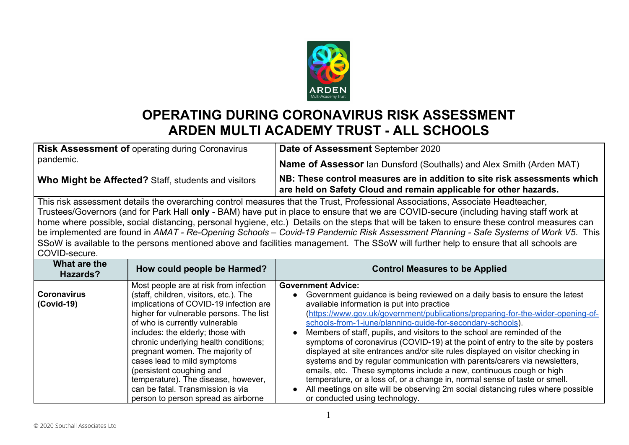

## **OPERATING DURING CORONAVIRUS RISK ASSESSMENT ARDEN MULTI ACADEMY TRUST - ALL SCHOOLS**

| <b>Risk Assessment of operating during Coronavirus</b><br>pandemic.                                                          | Date of Assessment September 2020                                                                                                              |
|------------------------------------------------------------------------------------------------------------------------------|------------------------------------------------------------------------------------------------------------------------------------------------|
|                                                                                                                              | <b>Name of Assessor</b> Ian Dunsford (Southalls) and Alex Smith (Arden MAT)                                                                    |
| Who Might be Affected? Staff, students and visitors                                                                          | NB: These control measures are in addition to site risk assessments which<br>are held on Safety Cloud and remain applicable for other hazards. |
| This risk assessment details the overarching control measures that the Trust Professional Associations Associate Headteacher |                                                                                                                                                |

assessment details the overarching control measures that the Trust, Professional Associations, Associate Headteacher, Trustees/Governors (and for Park Hall **only** - BAM) have put in place to ensure that we are COVID-secure (including having staff work at home where possible, social distancing, personal hygiene, etc.) Details on the steps that will be taken to ensure these control measures can be implemented are found in *AMAT - Re-Opening Schools – Covid-19 Pandemic Risk Assessment Planning - Safe Systems of Work V5*. This SSoW is available to the persons mentioned above and facilities management. The SSoW will further help to ensure that all schools are COVID-secure.

| What are the<br>Hazards?           | How could people be Harmed?                                                                                                                                                                                                                                                                                                                                                                                                                                                                            | <b>Control Measures to be Applied</b>                                                                                                                                                                                                                                                                                                                                                                                                                                                                                                                                                                                                                                                                                                                                                                                                                                                                                                                   |
|------------------------------------|--------------------------------------------------------------------------------------------------------------------------------------------------------------------------------------------------------------------------------------------------------------------------------------------------------------------------------------------------------------------------------------------------------------------------------------------------------------------------------------------------------|---------------------------------------------------------------------------------------------------------------------------------------------------------------------------------------------------------------------------------------------------------------------------------------------------------------------------------------------------------------------------------------------------------------------------------------------------------------------------------------------------------------------------------------------------------------------------------------------------------------------------------------------------------------------------------------------------------------------------------------------------------------------------------------------------------------------------------------------------------------------------------------------------------------------------------------------------------|
| <b>Coronavirus</b><br>$(Covid-19)$ | Most people are at risk from infection<br>(staff, children, visitors, etc.). The<br>implications of COVID-19 infection are<br>higher for vulnerable persons. The list<br>of who is currently vulnerable<br>includes: the elderly; those with<br>chronic underlying health conditions;<br>pregnant women. The majority of<br>cases lead to mild symptoms<br>(persistent coughing and<br>temperature). The disease, however,<br>can be fatal. Transmission is via<br>person to person spread as airborne | <b>Government Advice:</b><br>Government guidance is being reviewed on a daily basis to ensure the latest<br>$\bullet$<br>available information is put into practice<br>(https://www.gov.uk/government/publications/preparing-for-the-wider-opening-of-<br>schools-from-1-june/planning-guide-for-secondary-schools).<br>Members of staff, pupils, and visitors to the school are reminded of the<br>$\bullet$<br>symptoms of coronavirus (COVID-19) at the point of entry to the site by posters<br>displayed at site entrances and/or site rules displayed on visitor checking in<br>systems and by regular communication with parents/carers via newsletters,<br>emails, etc. These symptoms include a new, continuous cough or high<br>temperature, or a loss of, or a change in, normal sense of taste or smell.<br>All meetings on site will be observing 2m social distancing rules where possible<br>$\bullet$<br>or conducted using technology. |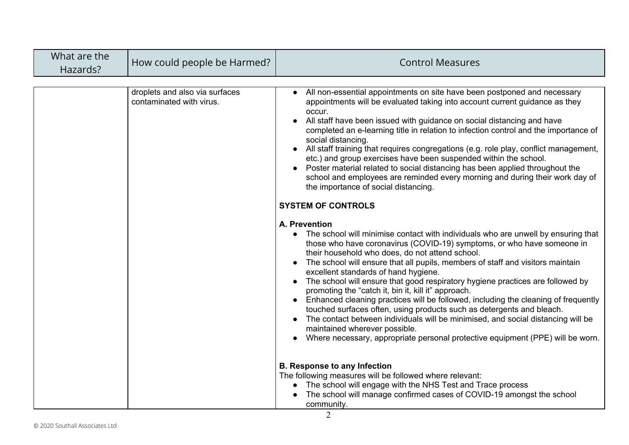| What are the<br>Hazards? | How could people be Harmed?                                | <b>Control Measures</b>                                                                                                                                                                                                                                                                                                                                                                                                                                                                                                                                                                                                                                                                                                                                                                                                                                                                                                                                                                                                                                                                                                                                                                                                                                                                                                                                                                                                                                                                                                                                                                                                                |
|--------------------------|------------------------------------------------------------|----------------------------------------------------------------------------------------------------------------------------------------------------------------------------------------------------------------------------------------------------------------------------------------------------------------------------------------------------------------------------------------------------------------------------------------------------------------------------------------------------------------------------------------------------------------------------------------------------------------------------------------------------------------------------------------------------------------------------------------------------------------------------------------------------------------------------------------------------------------------------------------------------------------------------------------------------------------------------------------------------------------------------------------------------------------------------------------------------------------------------------------------------------------------------------------------------------------------------------------------------------------------------------------------------------------------------------------------------------------------------------------------------------------------------------------------------------------------------------------------------------------------------------------------------------------------------------------------------------------------------------------|
|                          | droplets and also via surfaces<br>contaminated with virus. | All non-essential appointments on site have been postponed and necessary<br>appointments will be evaluated taking into account current guidance as they<br>occur.<br>All staff have been issued with guidance on social distancing and have<br>completed an e-learning title in relation to infection control and the importance of<br>social distancing.<br>All staff training that requires congregations (e.g. role play, conflict management,<br>etc.) and group exercises have been suspended within the school.<br>Poster material related to social distancing has been applied throughout the<br>school and employees are reminded every morning and during their work day of<br>the importance of social distancing.<br><b>SYSTEM OF CONTROLS</b><br>A. Prevention<br>The school will minimise contact with individuals who are unwell by ensuring that<br>those who have coronavirus (COVID-19) symptoms, or who have someone in<br>their household who does, do not attend school.<br>The school will ensure that all pupils, members of staff and visitors maintain<br>excellent standards of hand hygiene.<br>The school will ensure that good respiratory hygiene practices are followed by<br>promoting the "catch it, bin it, kill it" approach.<br>Enhanced cleaning practices will be followed, including the cleaning of frequently<br>touched surfaces often, using products such as detergents and bleach.<br>The contact between individuals will be minimised, and social distancing will be<br>maintained wherever possible.<br>Where necessary, appropriate personal protective equipment (PPE) will be worn. |
|                          |                                                            | <b>B. Response to any Infection</b><br>The following measures will be followed where relevant:<br>The school will engage with the NHS Test and Trace process<br>The school will manage confirmed cases of COVID-19 amongst the school<br>community.                                                                                                                                                                                                                                                                                                                                                                                                                                                                                                                                                                                                                                                                                                                                                                                                                                                                                                                                                                                                                                                                                                                                                                                                                                                                                                                                                                                    |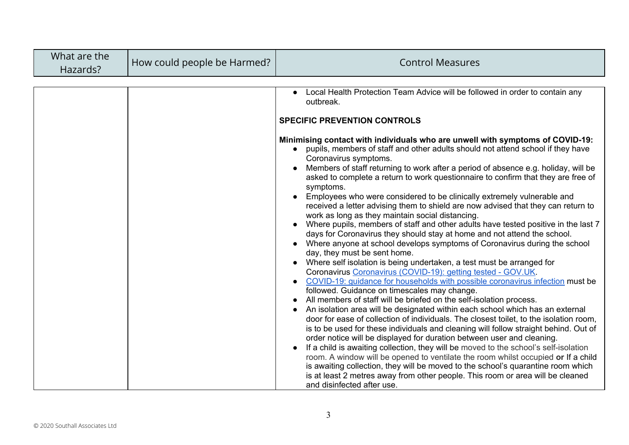| What are the<br>Hazards? | How could people be Harmed? | <b>Control Measures</b>                                                                                                                                                                                                                                                                                                                                                                                                                                                                                                                                                                                                                                                                                                                                                                                                                                                                                                                                                                                                                                                                                                                                                                                                                                                                                                                                                                                                                                                                                                                                                                                                                                                                                                                                                                                                                                                                                                                                                                                                                                                                                   |
|--------------------------|-----------------------------|-----------------------------------------------------------------------------------------------------------------------------------------------------------------------------------------------------------------------------------------------------------------------------------------------------------------------------------------------------------------------------------------------------------------------------------------------------------------------------------------------------------------------------------------------------------------------------------------------------------------------------------------------------------------------------------------------------------------------------------------------------------------------------------------------------------------------------------------------------------------------------------------------------------------------------------------------------------------------------------------------------------------------------------------------------------------------------------------------------------------------------------------------------------------------------------------------------------------------------------------------------------------------------------------------------------------------------------------------------------------------------------------------------------------------------------------------------------------------------------------------------------------------------------------------------------------------------------------------------------------------------------------------------------------------------------------------------------------------------------------------------------------------------------------------------------------------------------------------------------------------------------------------------------------------------------------------------------------------------------------------------------------------------------------------------------------------------------------------------------|
|                          |                             | Local Health Protection Team Advice will be followed in order to contain any<br>outbreak.<br><b>SPECIFIC PREVENTION CONTROLS</b><br>Minimising contact with individuals who are unwell with symptoms of COVID-19:<br>• pupils, members of staff and other adults should not attend school if they have<br>Coronavirus symptoms.<br>Members of staff returning to work after a period of absence e.g. holiday, will be<br>asked to complete a return to work questionnaire to confirm that they are free of<br>symptoms.<br>Employees who were considered to be clinically extremely vulnerable and<br>received a letter advising them to shield are now advised that they can return to<br>work as long as they maintain social distancing.<br>Where pupils, members of staff and other adults have tested positive in the last 7<br>days for Coronavirus they should stay at home and not attend the school.<br>Where anyone at school develops symptoms of Coronavirus during the school<br>day, they must be sent home.<br>Where self isolation is being undertaken, a test must be arranged for<br>Coronavirus Coronavirus (COVID-19): getting tested - GOV.UK.<br>COVID-19: guidance for households with possible coronavirus infection must be<br>followed. Guidance on timescales may change.<br>All members of staff will be briefed on the self-isolation process.<br>An isolation area will be designated within each school which has an external<br>door for ease of collection of individuals. The closest toilet, to the isolation room,<br>is to be used for these individuals and cleaning will follow straight behind. Out of<br>order notice will be displayed for duration between user and cleaning.<br>If a child is awaiting collection, they will be moved to the school's self-isolation<br>room. A window will be opened to ventilate the room whilst occupied or If a child<br>is awaiting collection, they will be moved to the school's quarantine room which<br>is at least 2 metres away from other people. This room or area will be cleaned<br>and disinfected after use. |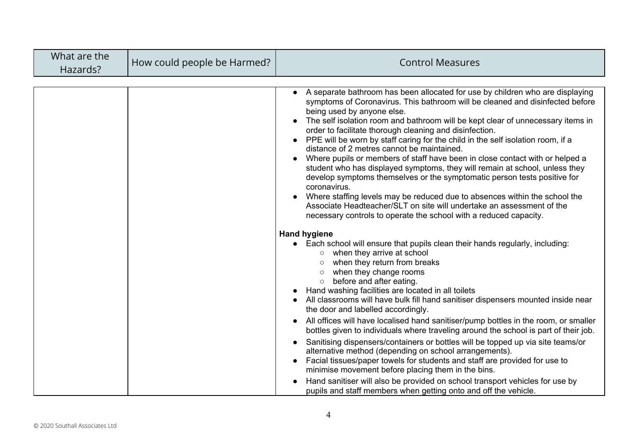| What are the<br>Hazards? | How could people be Harmed? | <b>Control Measures</b>                                                                                                                                                                                                                                                                                                                                                                                                                                                                                                                                                                                                                                                                                                                                                                                                                                                                                                                                                                                                                                                 |
|--------------------------|-----------------------------|-------------------------------------------------------------------------------------------------------------------------------------------------------------------------------------------------------------------------------------------------------------------------------------------------------------------------------------------------------------------------------------------------------------------------------------------------------------------------------------------------------------------------------------------------------------------------------------------------------------------------------------------------------------------------------------------------------------------------------------------------------------------------------------------------------------------------------------------------------------------------------------------------------------------------------------------------------------------------------------------------------------------------------------------------------------------------|
|                          |                             | A separate bathroom has been allocated for use by children who are displaying<br>symptoms of Coronavirus. This bathroom will be cleaned and disinfected before<br>being used by anyone else.<br>The self isolation room and bathroom will be kept clear of unnecessary items in<br>order to facilitate thorough cleaning and disinfection.<br>PPE will be worn by staff caring for the child in the self isolation room, if a<br>distance of 2 metres cannot be maintained.<br>Where pupils or members of staff have been in close contact with or helped a<br>$\bullet$<br>student who has displayed symptoms, they will remain at school, unless they<br>develop symptoms themselves or the symptomatic person tests positive for<br>coronavirus.<br>Where staffing levels may be reduced due to absences within the school the<br>Associate Headteacher/SLT on site will undertake an assessment of the<br>necessary controls to operate the school with a reduced capacity.                                                                                         |
|                          |                             | <b>Hand hygiene</b><br>• Each school will ensure that pupils clean their hands regularly, including:<br>when they arrive at school<br>$\circ$<br>when they return from breaks<br>$\circ$<br>when they change rooms<br>$\circ$<br>before and after eating.<br>$\circ$<br>Hand washing facilities are located in all toilets<br>All classrooms will have bulk fill hand sanitiser dispensers mounted inside near<br>the door and labelled accordingly.<br>All offices will have localised hand sanitiser/pump bottles in the room, or smaller<br>bottles given to individuals where traveling around the school is part of their job.<br>Sanitising dispensers/containers or bottles will be topped up via site teams/or<br>alternative method (depending on school arrangements).<br>Facial tissues/paper towels for students and staff are provided for use to<br>minimise movement before placing them in the bins.<br>Hand sanitiser will also be provided on school transport vehicles for use by<br>pupils and staff members when getting onto and off the vehicle. |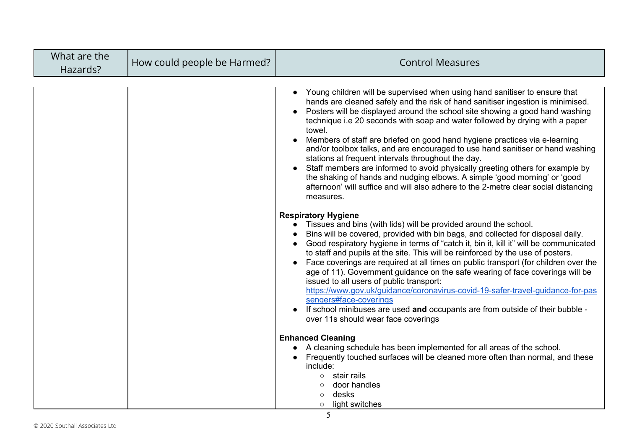| What are the<br>Hazards? | How could people be Harmed? | <b>Control Measures</b>                                                                                                                                                                                                                                                                                                                                                                                                                                                                                                                                                                                                                                                                                                                                                                                                                                       |
|--------------------------|-----------------------------|---------------------------------------------------------------------------------------------------------------------------------------------------------------------------------------------------------------------------------------------------------------------------------------------------------------------------------------------------------------------------------------------------------------------------------------------------------------------------------------------------------------------------------------------------------------------------------------------------------------------------------------------------------------------------------------------------------------------------------------------------------------------------------------------------------------------------------------------------------------|
|                          |                             | Young children will be supervised when using hand sanitiser to ensure that<br>hands are cleaned safely and the risk of hand sanitiser ingestion is minimised.<br>Posters will be displayed around the school site showing a good hand washing<br>technique i.e 20 seconds with soap and water followed by drying with a paper<br>towel.<br>Members of staff are briefed on good hand hygiene practices via e-learning<br>and/or toolbox talks, and are encouraged to use hand sanitiser or hand washing<br>stations at frequent intervals throughout the day.<br>Staff members are informed to avoid physically greeting others for example by<br>the shaking of hands and nudging elbows. A simple 'good morning' or 'good<br>afternoon' will suffice and will also adhere to the 2-metre clear social distancing<br>measures.<br><b>Respiratory Hygiene</b> |
|                          |                             | Tissues and bins (with lids) will be provided around the school.<br>Bins will be covered, provided with bin bags, and collected for disposal daily.<br>Good respiratory hygiene in terms of "catch it, bin it, kill it" will be communicated<br>to staff and pupils at the site. This will be reinforced by the use of posters.<br>Face coverings are required at all times on public transport (for children over the<br>age of 11). Government guidance on the safe wearing of face coverings will be<br>issued to all users of public transport:<br>https://www.gov.uk/guidance/coronavirus-covid-19-safer-travel-guidance-for-pas<br>sengers#face-coverings<br>If school minibuses are used and occupants are from outside of their bubble -<br>over 11s should wear face coverings                                                                       |
|                          |                             | <b>Enhanced Cleaning</b><br>A cleaning schedule has been implemented for all areas of the school.<br>Frequently touched surfaces will be cleaned more often than normal, and these<br>include:<br>stair rails<br>$\circ$<br>door handles<br>$\circ$<br>desks<br>$\circ$<br>light switches<br>$\circ$                                                                                                                                                                                                                                                                                                                                                                                                                                                                                                                                                          |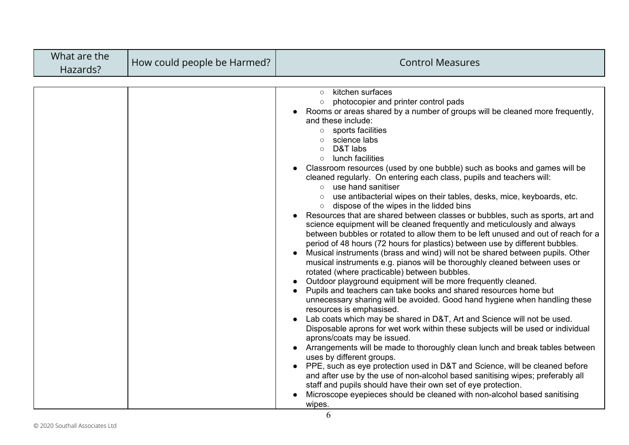| What are the<br>Hazards? | How could people be Harmed? | <b>Control Measures</b>                                                                                                                                                                                                                                                                                                                                                                                                                                                                                                                                                                                                                                                                                                                                                                                                                                                                                                                                                                                                                                                                                                                                                                                                                                                                                                                                                                                                                                                                                                                                                                                                                                                                                                                                                                                                                                                                                                                                                                                                                      |
|--------------------------|-----------------------------|----------------------------------------------------------------------------------------------------------------------------------------------------------------------------------------------------------------------------------------------------------------------------------------------------------------------------------------------------------------------------------------------------------------------------------------------------------------------------------------------------------------------------------------------------------------------------------------------------------------------------------------------------------------------------------------------------------------------------------------------------------------------------------------------------------------------------------------------------------------------------------------------------------------------------------------------------------------------------------------------------------------------------------------------------------------------------------------------------------------------------------------------------------------------------------------------------------------------------------------------------------------------------------------------------------------------------------------------------------------------------------------------------------------------------------------------------------------------------------------------------------------------------------------------------------------------------------------------------------------------------------------------------------------------------------------------------------------------------------------------------------------------------------------------------------------------------------------------------------------------------------------------------------------------------------------------------------------------------------------------------------------------------------------------|
|                          |                             | kitchen surfaces<br>$\circ$<br>photocopier and printer control pads<br>$\circ$<br>Rooms or areas shared by a number of groups will be cleaned more frequently,<br>and these include:<br>sports facilities<br>$\circ$<br>science labs<br>D&T labs<br>$\bigcirc$<br>lunch facilities<br>$\circ$<br>Classroom resources (used by one bubble) such as books and games will be<br>cleaned regularly. On entering each class, pupils and teachers will:<br>o use hand sanitiser<br>use antibacterial wipes on their tables, desks, mice, keyboards, etc.<br>dispose of the wipes in the lidded bins<br>$\circ$<br>Resources that are shared between classes or bubbles, such as sports, art and<br>science equipment will be cleaned frequently and meticulously and always<br>between bubbles or rotated to allow them to be left unused and out of reach for a<br>period of 48 hours (72 hours for plastics) between use by different bubbles.<br>Musical instruments (brass and wind) will not be shared between pupils. Other<br>musical instruments e.g. pianos will be thoroughly cleaned between uses or<br>rotated (where practicable) between bubbles.<br>Outdoor playground equipment will be more frequently cleaned.<br>Pupils and teachers can take books and shared resources home but<br>unnecessary sharing will be avoided. Good hand hygiene when handling these<br>resources is emphasised.<br>Lab coats which may be shared in D&T, Art and Science will not be used.<br>Disposable aprons for wet work within these subjects will be used or individual<br>aprons/coats may be issued.<br>Arrangements will be made to thoroughly clean lunch and break tables between<br>uses by different groups.<br>• PPE, such as eye protection used in D&T and Science, will be cleaned before<br>and after use by the use of non-alcohol based sanitising wipes; preferably all<br>staff and pupils should have their own set of eye protection.<br>Microscope eyepieces should be cleaned with non-alcohol based sanitising<br>wipes. |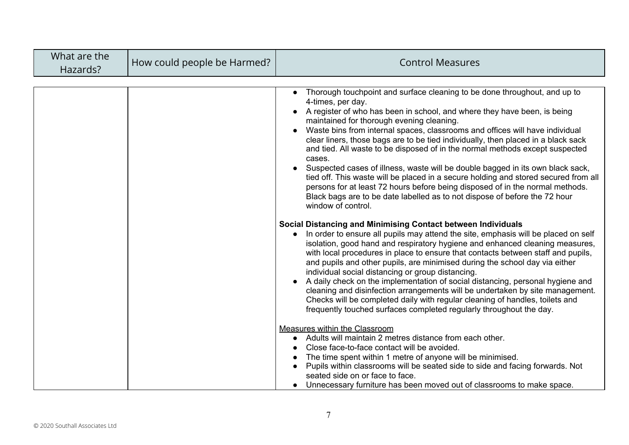| What are the<br>Hazards? | How could people be Harmed? | <b>Control Measures</b>                                                                                                                                                                                                                                                                                                                                                                                                                                                                                                                                                                                                                                                                                                                                                                                                                                                                                                                                                                                                                                                                                                                                                                                                                                                                                                                                                                                                                                                                                                                                                                                                                                   |
|--------------------------|-----------------------------|-----------------------------------------------------------------------------------------------------------------------------------------------------------------------------------------------------------------------------------------------------------------------------------------------------------------------------------------------------------------------------------------------------------------------------------------------------------------------------------------------------------------------------------------------------------------------------------------------------------------------------------------------------------------------------------------------------------------------------------------------------------------------------------------------------------------------------------------------------------------------------------------------------------------------------------------------------------------------------------------------------------------------------------------------------------------------------------------------------------------------------------------------------------------------------------------------------------------------------------------------------------------------------------------------------------------------------------------------------------------------------------------------------------------------------------------------------------------------------------------------------------------------------------------------------------------------------------------------------------------------------------------------------------|
|                          |                             | Thorough touchpoint and surface cleaning to be done throughout, and up to<br>4-times, per day.<br>A register of who has been in school, and where they have been, is being<br>maintained for thorough evening cleaning.<br>Waste bins from internal spaces, classrooms and offices will have individual<br>clear liners, those bags are to be tied individually, then placed in a black sack<br>and tied. All waste to be disposed of in the normal methods except suspected<br>cases.<br>Suspected cases of illness, waste will be double bagged in its own black sack,<br>tied off. This waste will be placed in a secure holding and stored secured from all<br>persons for at least 72 hours before being disposed of in the normal methods.<br>Black bags are to be date labelled as to not dispose of before the 72 hour<br>window of control.<br>Social Distancing and Minimising Contact between Individuals<br>In order to ensure all pupils may attend the site, emphasis will be placed on self<br>$\bullet$<br>isolation, good hand and respiratory hygiene and enhanced cleaning measures,<br>with local procedures in place to ensure that contacts between staff and pupils,<br>and pupils and other pupils, are minimised during the school day via either<br>individual social distancing or group distancing.<br>A daily check on the implementation of social distancing, personal hygiene and<br>cleaning and disinfection arrangements will be undertaken by site management.<br>Checks will be completed daily with regular cleaning of handles, toilets and<br>frequently touched surfaces completed regularly throughout the day. |
|                          |                             | Measures within the Classroom<br>Adults will maintain 2 metres distance from each other.<br>Close face-to-face contact will be avoided.<br>The time spent within 1 metre of anyone will be minimised.<br>Pupils within classrooms will be seated side to side and facing forwards. Not<br>seated side on or face to face.<br>• Unnecessary furniture has been moved out of classrooms to make space.                                                                                                                                                                                                                                                                                                                                                                                                                                                                                                                                                                                                                                                                                                                                                                                                                                                                                                                                                                                                                                                                                                                                                                                                                                                      |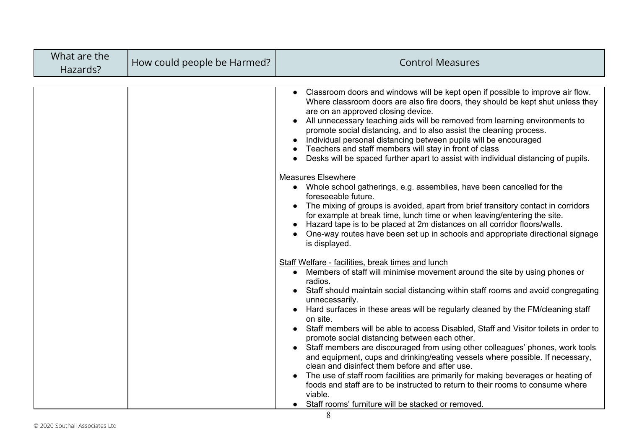| What are the<br>Hazards? | How could people be Harmed? | <b>Control Measures</b>                                                                                                                                                                                                                                                                                                                                                                                                                                                                                                                                                                                                                                                                                                                                                                                                                                                                                                                                                                                                                                                                                                                                                                                                                                                                                                                                                                                                                                                                                                                                                                                                                                                                                                                                                                                                                                                                                                                                                                                                                   |
|--------------------------|-----------------------------|-------------------------------------------------------------------------------------------------------------------------------------------------------------------------------------------------------------------------------------------------------------------------------------------------------------------------------------------------------------------------------------------------------------------------------------------------------------------------------------------------------------------------------------------------------------------------------------------------------------------------------------------------------------------------------------------------------------------------------------------------------------------------------------------------------------------------------------------------------------------------------------------------------------------------------------------------------------------------------------------------------------------------------------------------------------------------------------------------------------------------------------------------------------------------------------------------------------------------------------------------------------------------------------------------------------------------------------------------------------------------------------------------------------------------------------------------------------------------------------------------------------------------------------------------------------------------------------------------------------------------------------------------------------------------------------------------------------------------------------------------------------------------------------------------------------------------------------------------------------------------------------------------------------------------------------------------------------------------------------------------------------------------------------------|
|                          |                             | Classroom doors and windows will be kept open if possible to improve air flow.<br>Where classroom doors are also fire doors, they should be kept shut unless they<br>are on an approved closing device.<br>All unnecessary teaching aids will be removed from learning environments to<br>promote social distancing, and to also assist the cleaning process.<br>Individual personal distancing between pupils will be encouraged<br>Teachers and staff members will stay in front of class<br>Desks will be spaced further apart to assist with individual distancing of pupils.<br><b>Measures Elsewhere</b><br>• Whole school gatherings, e.g. assemblies, have been cancelled for the<br>foreseeable future.<br>The mixing of groups is avoided, apart from brief transitory contact in corridors<br>for example at break time, lunch time or when leaving/entering the site.<br>Hazard tape is to be placed at 2m distances on all corridor floors/walls.<br>One-way routes have been set up in schools and appropriate directional signage<br>is displayed.<br>Staff Welfare - facilities, break times and lunch<br>Members of staff will minimise movement around the site by using phones or<br>$\bullet$<br>radios.<br>Staff should maintain social distancing within staff rooms and avoid congregating<br>unnecessarily.<br>Hard surfaces in these areas will be regularly cleaned by the FM/cleaning staff<br>on site.<br>Staff members will be able to access Disabled, Staff and Visitor toilets in order to<br>promote social distancing between each other.<br>Staff members are discouraged from using other colleagues' phones, work tools<br>and equipment, cups and drinking/eating vessels where possible. If necessary,<br>clean and disinfect them before and after use.<br>The use of staff room facilities are primarily for making beverages or heating of<br>foods and staff are to be instructed to return to their rooms to consume where<br>viable.<br>• Staff rooms' furniture will be stacked or removed. |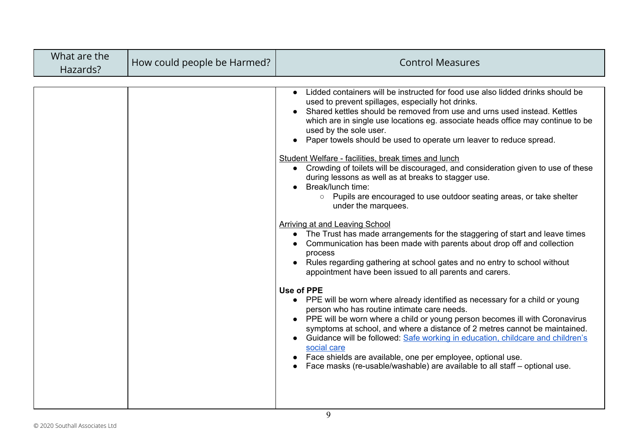| What are the<br>Hazards? | How could people be Harmed? | <b>Control Measures</b>                                                                                                                                                                                                                                                                                                                                                                                                                                                                                                                                                                                                                                                                                                                                                                                                                                                                                                                                                                                                                                                                                                                                                                                                                                                                                                                                                                                                                                                                                                                                                                                                                       |
|--------------------------|-----------------------------|-----------------------------------------------------------------------------------------------------------------------------------------------------------------------------------------------------------------------------------------------------------------------------------------------------------------------------------------------------------------------------------------------------------------------------------------------------------------------------------------------------------------------------------------------------------------------------------------------------------------------------------------------------------------------------------------------------------------------------------------------------------------------------------------------------------------------------------------------------------------------------------------------------------------------------------------------------------------------------------------------------------------------------------------------------------------------------------------------------------------------------------------------------------------------------------------------------------------------------------------------------------------------------------------------------------------------------------------------------------------------------------------------------------------------------------------------------------------------------------------------------------------------------------------------------------------------------------------------------------------------------------------------|
|                          |                             | Lidded containers will be instructed for food use also lidded drinks should be<br>used to prevent spillages, especially hot drinks.<br>Shared kettles should be removed from use and urns used instead. Kettles<br>which are in single use locations eg. associate heads office may continue to be<br>used by the sole user.<br>Paper towels should be used to operate urn leaver to reduce spread.<br>Student Welfare - facilities, break times and lunch<br>• Crowding of toilets will be discouraged, and consideration given to use of these<br>during lessons as well as at breaks to stagger use.<br>Break/lunch time:<br>• Pupils are encouraged to use outdoor seating areas, or take shelter<br>under the marquees.<br>Arriving at and Leaving School<br>The Trust has made arrangements for the staggering of start and leave times<br>Communication has been made with parents about drop off and collection<br>process<br>• Rules regarding gathering at school gates and no entry to school without<br>appointment have been issued to all parents and carers.<br><b>Use of PPE</b><br>• PPE will be worn where already identified as necessary for a child or young<br>person who has routine intimate care needs.<br>• PPE will be worn where a child or young person becomes ill with Coronavirus<br>symptoms at school, and where a distance of 2 metres cannot be maintained.<br>Guidance will be followed: Safe working in education, childcare and children's<br>social care<br>Face shields are available, one per employee, optional use.<br>Face masks (re-usable/washable) are available to all staff – optional use. |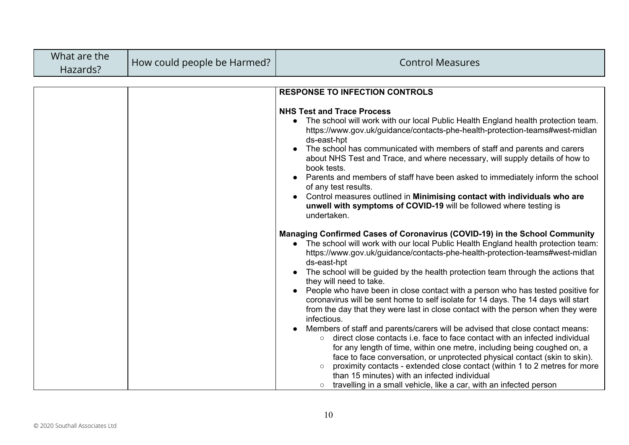| What are the<br>Hazards? | How could people be Harmed? | <b>Control Measures</b>                                                                                                                                                                                                                                                                                                                                                                                                                                                                                                                                                                                                                                                                                                                                                                                                                                                                                                                                                                                                                                                                                                                                                                            |
|--------------------------|-----------------------------|----------------------------------------------------------------------------------------------------------------------------------------------------------------------------------------------------------------------------------------------------------------------------------------------------------------------------------------------------------------------------------------------------------------------------------------------------------------------------------------------------------------------------------------------------------------------------------------------------------------------------------------------------------------------------------------------------------------------------------------------------------------------------------------------------------------------------------------------------------------------------------------------------------------------------------------------------------------------------------------------------------------------------------------------------------------------------------------------------------------------------------------------------------------------------------------------------|
|                          |                             |                                                                                                                                                                                                                                                                                                                                                                                                                                                                                                                                                                                                                                                                                                                                                                                                                                                                                                                                                                                                                                                                                                                                                                                                    |
|                          |                             | <b>RESPONSE TO INFECTION CONTROLS</b>                                                                                                                                                                                                                                                                                                                                                                                                                                                                                                                                                                                                                                                                                                                                                                                                                                                                                                                                                                                                                                                                                                                                                              |
|                          |                             | <b>NHS Test and Trace Process</b><br>The school will work with our local Public Health England health protection team.<br>$\bullet$<br>https://www.gov.uk/guidance/contacts-phe-health-protection-teams#west-midlan<br>ds-east-hpt<br>The school has communicated with members of staff and parents and carers<br>about NHS Test and Trace, and where necessary, will supply details of how to<br>book tests.<br>Parents and members of staff have been asked to immediately inform the school<br>of any test results.<br>Control measures outlined in Minimising contact with individuals who are<br>unwell with symptoms of COVID-19 will be followed where testing is<br>undertaken.                                                                                                                                                                                                                                                                                                                                                                                                                                                                                                            |
|                          |                             | Managing Confirmed Cases of Coronavirus (COVID-19) in the School Community<br>• The school will work with our local Public Health England health protection team:<br>https://www.gov.uk/guidance/contacts-phe-health-protection-teams#west-midlan<br>ds-east-hpt<br>The school will be guided by the health protection team through the actions that<br>they will need to take.<br>People who have been in close contact with a person who has tested positive for<br>coronavirus will be sent home to self isolate for 14 days. The 14 days will start<br>from the day that they were last in close contact with the person when they were<br>infectious.<br>Members of staff and parents/carers will be advised that close contact means:<br>direct close contacts i.e. face to face contact with an infected individual<br>$\circ$<br>for any length of time, within one metre, including being coughed on, a<br>face to face conversation, or unprotected physical contact (skin to skin).<br>proximity contacts - extended close contact (within 1 to 2 metres for more<br>than 15 minutes) with an infected individual<br>travelling in a small vehicle, like a car, with an infected person |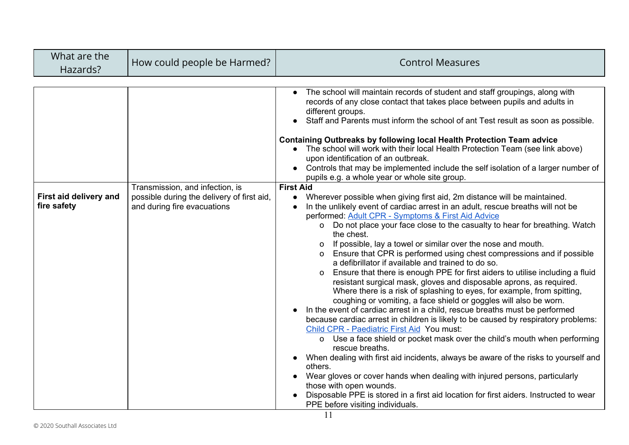| What are the<br><b>Control Measures</b><br>How could people be Harmed?<br>Hazards?                                                                                                                                                                                                                                                                                                                                                                                                                                                                                                                                                                                                                                                                                                                                                                                                                                                                                                                                                                                                                                                                                                                                                                                                                                                                                                                                                                                                                                                                                                                                                                                                                                                                                                                                                                                                                                                                                                                                                                                                                                                                                                                                                                                                                              |  |
|-----------------------------------------------------------------------------------------------------------------------------------------------------------------------------------------------------------------------------------------------------------------------------------------------------------------------------------------------------------------------------------------------------------------------------------------------------------------------------------------------------------------------------------------------------------------------------------------------------------------------------------------------------------------------------------------------------------------------------------------------------------------------------------------------------------------------------------------------------------------------------------------------------------------------------------------------------------------------------------------------------------------------------------------------------------------------------------------------------------------------------------------------------------------------------------------------------------------------------------------------------------------------------------------------------------------------------------------------------------------------------------------------------------------------------------------------------------------------------------------------------------------------------------------------------------------------------------------------------------------------------------------------------------------------------------------------------------------------------------------------------------------------------------------------------------------------------------------------------------------------------------------------------------------------------------------------------------------------------------------------------------------------------------------------------------------------------------------------------------------------------------------------------------------------------------------------------------------------------------------------------------------------------------------------------------------|--|
| The school will maintain records of student and staff groupings, along with<br>records of any close contact that takes place between pupils and adults in<br>different groups.<br>Staff and Parents must inform the school of ant Test result as soon as possible.<br>Containing Outbreaks by following local Health Protection Team advice<br>• The school will work with their local Health Protection Team (see link above)<br>upon identification of an outbreak.<br>• Controls that may be implemented include the self isolation of a larger number of<br>pupils e.g. a whole year or whole site group.<br><b>First Aid</b><br>Transmission, and infection, is<br>First aid delivery and<br>possible during the delivery of first aid,<br>Wherever possible when giving first aid, 2m distance will be maintained.<br>$\bullet$<br>fire safety<br>and during fire evacuations<br>In the unlikely event of cardiac arrest in an adult, rescue breaths will not be<br>performed: Adult CPR - Symptoms & First Aid Advice<br>o Do not place your face close to the casualty to hear for breathing. Watch<br>the chest.<br>If possible, lay a towel or similar over the nose and mouth.<br>0<br>Ensure that CPR is performed using chest compressions and if possible<br>a defibrillator if available and trained to do so.<br>Ensure that there is enough PPE for first aiders to utilise including a fluid<br>O<br>resistant surgical mask, gloves and disposable aprons, as required.<br>Where there is a risk of splashing to eyes, for example, from spitting,<br>coughing or vomiting, a face shield or goggles will also be worn.<br>In the event of cardiac arrest in a child, rescue breaths must be performed<br>because cardiac arrest in children is likely to be caused by respiratory problems:<br>Child CPR - Paediatric First Aid You must:<br>Use a face shield or pocket mask over the child's mouth when performing<br>$\Omega$<br>rescue breaths.<br>When dealing with first aid incidents, always be aware of the risks to yourself and<br>others.<br>Wear gloves or cover hands when dealing with injured persons, particularly<br>those with open wounds.<br>Disposable PPE is stored in a first aid location for first aiders. Instructed to wear<br>PPE before visiting individuals. |  |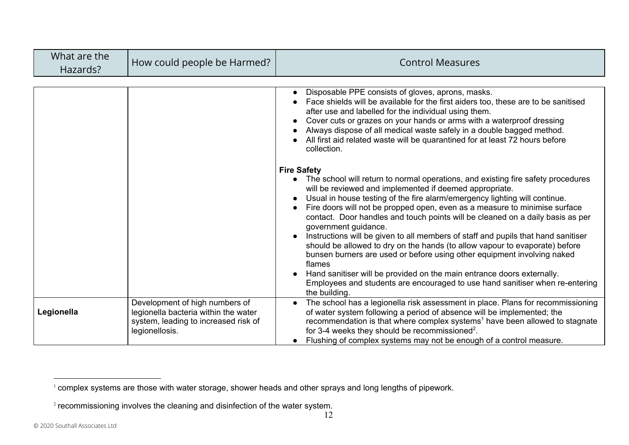| What are the<br>Hazards? | How could people be Harmed?                                                                                                      | <b>Control Measures</b>                                                                                                                                                                                                                                                                                                                                                                                                                                                                                                                                                                                                                                                                                                                                                                                                                                                                  |
|--------------------------|----------------------------------------------------------------------------------------------------------------------------------|------------------------------------------------------------------------------------------------------------------------------------------------------------------------------------------------------------------------------------------------------------------------------------------------------------------------------------------------------------------------------------------------------------------------------------------------------------------------------------------------------------------------------------------------------------------------------------------------------------------------------------------------------------------------------------------------------------------------------------------------------------------------------------------------------------------------------------------------------------------------------------------|
|                          |                                                                                                                                  | Disposable PPE consists of gloves, aprons, masks.<br>Face shields will be available for the first aiders too, these are to be sanitised<br>after use and labelled for the individual using them.<br>Cover cuts or grazes on your hands or arms with a waterproof dressing<br>Always dispose of all medical waste safely in a double bagged method.<br>All first aid related waste will be quarantined for at least 72 hours before<br>collection.                                                                                                                                                                                                                                                                                                                                                                                                                                        |
|                          |                                                                                                                                  | <b>Fire Safety</b><br>The school will return to normal operations, and existing fire safety procedures<br>$\bullet$<br>will be reviewed and implemented if deemed appropriate.<br>Usual in house testing of the fire alarm/emergency lighting will continue.<br>Fire doors will not be propped open, even as a measure to minimise surface<br>contact. Door handles and touch points will be cleaned on a daily basis as per<br>government guidance.<br>Instructions will be given to all members of staff and pupils that hand sanitiser<br>should be allowed to dry on the hands (to allow vapour to evaporate) before<br>bunsen burners are used or before using other equipment involving naked<br>flames<br>Hand sanitiser will be provided on the main entrance doors externally.<br>Employees and students are encouraged to use hand sanitiser when re-entering<br>the building. |
| Legionella               | Development of high numbers of<br>legionella bacteria within the water<br>system, leading to increased risk of<br>legionellosis. | The school has a legionella risk assessment in place. Plans for recommissioning<br>of water system following a period of absence will be implemented; the<br>recommendation is that where complex systems <sup>1</sup> have been allowed to stagnate<br>for 3-4 weeks they should be recommissioned <sup>2</sup> .<br>Flushing of complex systems may not be enough of a control measure.                                                                                                                                                                                                                                                                                                                                                                                                                                                                                                |

<sup>1</sup> complex systems are those with water storage, shower heads and other sprays and long lengths of pipework.

<sup>&</sup>lt;sup>2</sup> recommissioning involves the cleaning and disinfection of the water system.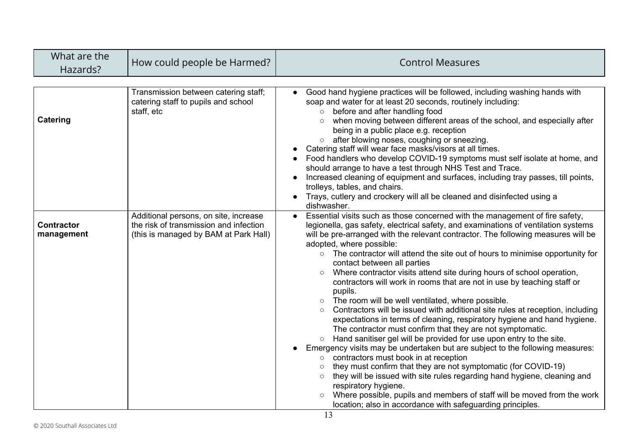| What are the<br>Hazards?        | How could people be Harmed?                                                                                              | <b>Control Measures</b>                                                                                                                                                                                                                                                                                                                                                                                                                                                                                                                                                                                                                                                                                                                                                                                                                                                                                                                                                                                                                                                                                                                                                                                                                                                                                                                                                                                                                                  |
|---------------------------------|--------------------------------------------------------------------------------------------------------------------------|----------------------------------------------------------------------------------------------------------------------------------------------------------------------------------------------------------------------------------------------------------------------------------------------------------------------------------------------------------------------------------------------------------------------------------------------------------------------------------------------------------------------------------------------------------------------------------------------------------------------------------------------------------------------------------------------------------------------------------------------------------------------------------------------------------------------------------------------------------------------------------------------------------------------------------------------------------------------------------------------------------------------------------------------------------------------------------------------------------------------------------------------------------------------------------------------------------------------------------------------------------------------------------------------------------------------------------------------------------------------------------------------------------------------------------------------------------|
| Catering                        | Transmission between catering staff;<br>catering staff to pupils and school<br>staff, etc                                | Good hand hygiene practices will be followed, including washing hands with<br>soap and water for at least 20 seconds, routinely including:<br>before and after handling food<br>$\circ$<br>when moving between different areas of the school, and especially after<br>$\circ$<br>being in a public place e.g. reception<br>after blowing noses, coughing or sneezing.<br>$\circ$<br>Catering staff will wear face masks/visors at all times.<br>Food handlers who develop COVID-19 symptoms must self isolate at home, and<br>should arrange to have a test through NHS Test and Trace.<br>Increased cleaning of equipment and surfaces, including tray passes, till points,<br>trolleys, tables, and chairs.<br>Trays, cutlery and crockery will all be cleaned and disinfected using a<br>dishwasher.                                                                                                                                                                                                                                                                                                                                                                                                                                                                                                                                                                                                                                                  |
| <b>Contractor</b><br>management | Additional persons, on site, increase<br>the risk of transmission and infection<br>(this is managed by BAM at Park Hall) | Essential visits such as those concerned with the management of fire safety,<br>$\bullet$<br>legionella, gas safety, electrical safety, and examinations of ventilation systems<br>will be pre-arranged with the relevant contractor. The following measures will be<br>adopted, where possible:<br>• The contractor will attend the site out of hours to minimise opportunity for<br>contact between all parties<br>Where contractor visits attend site during hours of school operation,<br>$\bigcirc$<br>contractors will work in rooms that are not in use by teaching staff or<br>pupils.<br>The room will be well ventilated, where possible.<br>$\circ$<br>Contractors will be issued with additional site rules at reception, including<br>$\bigcirc$<br>expectations in terms of cleaning, respiratory hygiene and hand hygiene.<br>The contractor must confirm that they are not symptomatic.<br>Hand sanitiser gel will be provided for use upon entry to the site.<br>$\circ$<br>Emergency visits may be undertaken but are subject to the following measures:<br>contractors must book in at reception<br>$\circ$<br>they must confirm that they are not symptomatic (for COVID-19)<br>they will be issued with site rules regarding hand hygiene, cleaning and<br>$\circ$<br>respiratory hygiene.<br>Where possible, pupils and members of staff will be moved from the work<br>location; also in accordance with safeguarding principles. |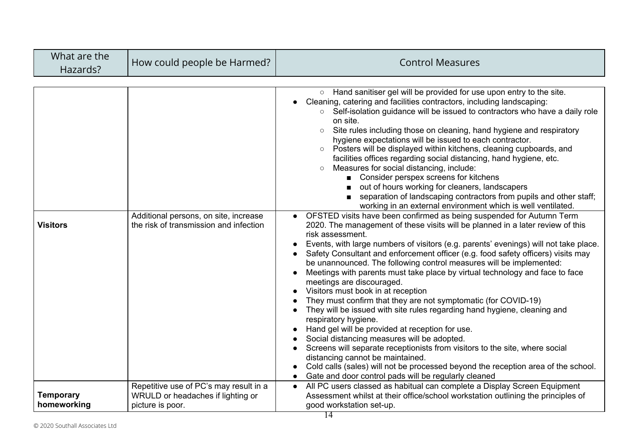| What are the<br>Hazards?        | How could people be Harmed?                                                                     | <b>Control Measures</b>                                                                                                                                                                                                                                                                                                                                                                                                                                                                                                                                                                                                                                                                                                                                                                                                                                                                                                                                                                                                                                                                                                                                                                                                                                                                                                                                                                                                                                                                                                                                                                                                                                                                                                                                                                                                                                                                                                                                                                |
|---------------------------------|-------------------------------------------------------------------------------------------------|----------------------------------------------------------------------------------------------------------------------------------------------------------------------------------------------------------------------------------------------------------------------------------------------------------------------------------------------------------------------------------------------------------------------------------------------------------------------------------------------------------------------------------------------------------------------------------------------------------------------------------------------------------------------------------------------------------------------------------------------------------------------------------------------------------------------------------------------------------------------------------------------------------------------------------------------------------------------------------------------------------------------------------------------------------------------------------------------------------------------------------------------------------------------------------------------------------------------------------------------------------------------------------------------------------------------------------------------------------------------------------------------------------------------------------------------------------------------------------------------------------------------------------------------------------------------------------------------------------------------------------------------------------------------------------------------------------------------------------------------------------------------------------------------------------------------------------------------------------------------------------------------------------------------------------------------------------------------------------------|
| <b>Visitors</b>                 | Additional persons, on site, increase<br>the risk of transmission and infection                 | ○ Hand sanitiser gel will be provided for use upon entry to the site.<br>Cleaning, catering and facilities contractors, including landscaping:<br>Self-isolation guidance will be issued to contractors who have a daily role<br>on site.<br>Site rules including those on cleaning, hand hygiene and respiratory<br>$\circ$<br>hygiene expectations will be issued to each contractor.<br>Posters will be displayed within kitchens, cleaning cupboards, and<br>$\circ$<br>facilities offices regarding social distancing, hand hygiene, etc.<br>Measures for social distancing, include:<br>$\circ$<br>■ Consider perspex screens for kitchens<br>out of hours working for cleaners, landscapers<br>separation of landscaping contractors from pupils and other staff;<br>$\blacksquare$<br>working in an external environment which is well ventilated.<br>OFSTED visits have been confirmed as being suspended for Autumn Term<br>2020. The management of these visits will be planned in a later review of this<br>risk assessment.<br>Events, with large numbers of visitors (e.g. parents' evenings) will not take place.<br>Safety Consultant and enforcement officer (e.g. food safety officers) visits may<br>be unannounced. The following control measures will be implemented:<br>Meetings with parents must take place by virtual technology and face to face<br>meetings are discouraged.<br>Visitors must book in at reception<br>They must confirm that they are not symptomatic (for COVID-19)<br>They will be issued with site rules regarding hand hygiene, cleaning and<br>respiratory hygiene.<br>Hand gel will be provided at reception for use.<br>Social distancing measures will be adopted.<br>Screens will separate receptionists from visitors to the site, where social<br>distancing cannot be maintained.<br>Cold calls (sales) will not be processed beyond the reception area of the school.<br>Gate and door control pads will be regularly cleaned |
| <b>Temporary</b><br>homeworking | Repetitive use of PC's may result in a<br>WRULD or headaches if lighting or<br>picture is poor. | All PC users classed as habitual can complete a Display Screen Equipment<br>$\bullet$<br>Assessment whilst at their office/school workstation outlining the principles of<br>good workstation set-up.                                                                                                                                                                                                                                                                                                                                                                                                                                                                                                                                                                                                                                                                                                                                                                                                                                                                                                                                                                                                                                                                                                                                                                                                                                                                                                                                                                                                                                                                                                                                                                                                                                                                                                                                                                                  |